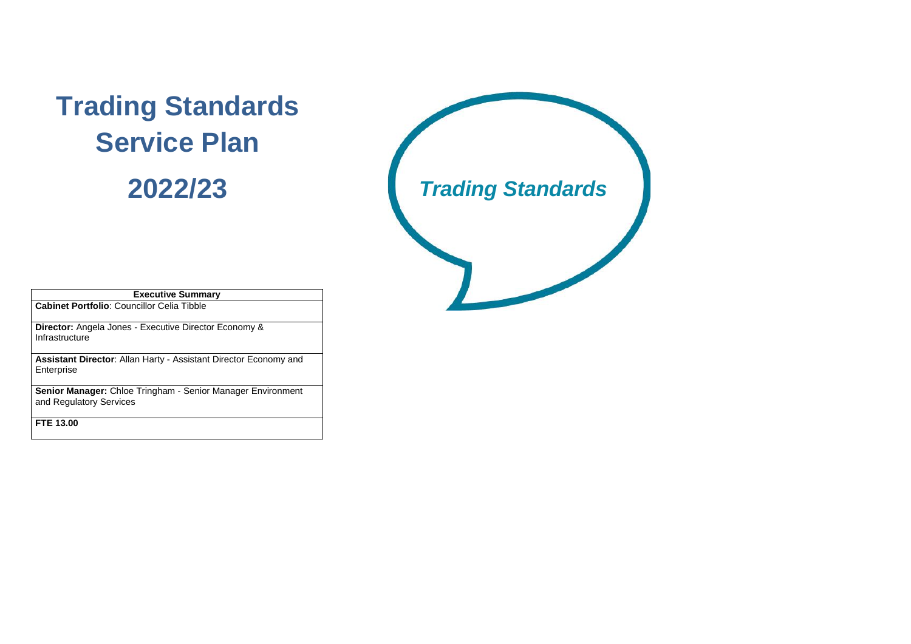| <b>Executive Summary</b>                                                               |  |  |  |  |  |  |
|----------------------------------------------------------------------------------------|--|--|--|--|--|--|
| <b>Cabinet Portfolio: Councillor Celia Tibble</b>                                      |  |  |  |  |  |  |
| <b>Director:</b> Angela Jones - Executive Director Economy &<br>Infrastructure         |  |  |  |  |  |  |
| <b>Assistant Director: Allan Harty - Assistant Director Economy and</b><br>Enterprise  |  |  |  |  |  |  |
| Senior Manager: Chloe Tringham - Senior Manager Environment<br>and Regulatory Services |  |  |  |  |  |  |
| <b>FTE 13.00</b>                                                                       |  |  |  |  |  |  |

# **Trading Standards Service Plan**

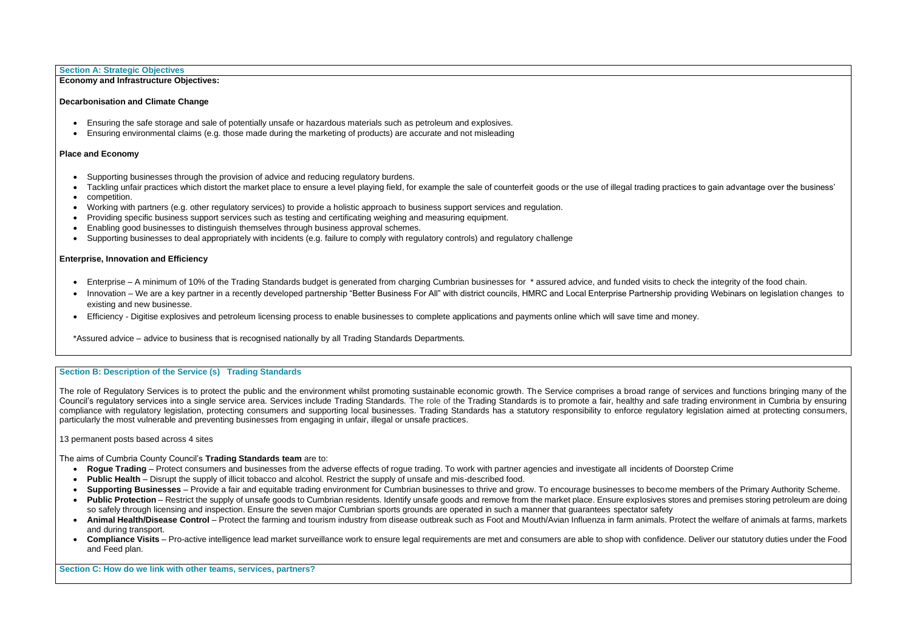#### **Section B: Description of the Service (s) Trading Standards**

The role of Regulatory Services is to protect the public and the environment whilst promoting sustainable economic growth. The Service comprises a broad range of services and functions bringing many of the Council's regulatory services into a single service area. Services include Trading Standards. The role of the Trading Standards is to promote a fair, healthy and safe trading environment in Cumbria by ensuring compliance with regulatory legislation, protecting consumers and supporting local businesses. Trading Standards has a statutory responsibility to enforce regulatory legislation aimed at protecting consumers, particularly the most vulnerable and preventing businesses from engaging in unfair, illegal or unsafe practices.

#### 13 permanent posts based across 4 sites

The aims of Cumbria County Council's **Trading Standards team** are to:

- Roque Trading Protect consumers and businesses from the adverse effects of roque trading. To work with partner agencies and investigate all incidents of Doorstep Crime
- **Public Health** Disrupt the supply of illicit tobacco and alcohol. Restrict the supply of unsafe and mis-described food.
- **Supporting Businesses** Provide a fair and equitable trading environment for Cumbrian businesses to thrive and grow. To encourage businesses to become members of the Primary Authority Scheme.
- **Public Protection** Restrict the supply of unsafe goods to Cumbrian residents. Identify unsafe goods and remove from the market place. Ensure explosives stores and premises storing petroleum are doing so safely through licensing and inspection. Ensure the seven major Cumbrian sports grounds are operated in such a manner that guarantees spectator safety
- **Animal Health/Disease Control** Protect the farming and tourism industry from disease outbreak such as Foot and Mouth/Avian Influenza in farm animals. Protect the welfare of animals at farms, markets and during transport.
- Compliance Visits Pro-active intelligence lead market surveillance work to ensure legal requirements are met and consumers are able to shop with confidence. Deliver our statutory duties under the Food and Feed plan.
- Enterprise A minimum of 10% of the Trading Standards budget is generated from charging Cumbrian businesses for \* assured advice, and funded visits to check the integrity of the food chain.
- Innovation We are a key partner in a recently developed partnership "Better Business For All" with district councils, HMRC and Local Enterprise Partnership providing Webinars on legislation changes to existing and new businesse.
- Efficiency Digitise explosives and petroleum licensing process to enable businesses to complete applications and payments online which will save time and money.

**Section C: How do we link with other teams, services, partners?**

#### **Section A: Strategic Objectives**

#### **Economy and Infrastructure Objectives:**

#### **Decarbonisation and Climate Change**

- Ensuring the safe storage and sale of potentially unsafe or hazardous materials such as petroleum and explosives.
- Ensuring environmental claims (e.g. those made during the marketing of products) are accurate and not misleading

#### **Place and Economy**

- Supporting businesses through the provision of advice and reducing regulatory burdens.
- Tackling unfair practices which distort the market place to ensure a level playing field, for example the sale of counterfeit goods or the use of illegal trading practices to gain advantage over the business'
- competition.
- Working with partners (e.g. other regulatory services) to provide a holistic approach to business support services and regulation.
- Providing specific business support services such as testing and certificating weighing and measuring equipment.
- Enabling good businesses to distinguish themselves through business approval schemes.
- Supporting businesses to deal appropriately with incidents (e.g. failure to comply with regulatory controls) and regulatory challenge

#### **Enterprise, Innovation and Efficiency**

\*Assured advice – advice to business that is recognised nationally by all Trading Standards Departments.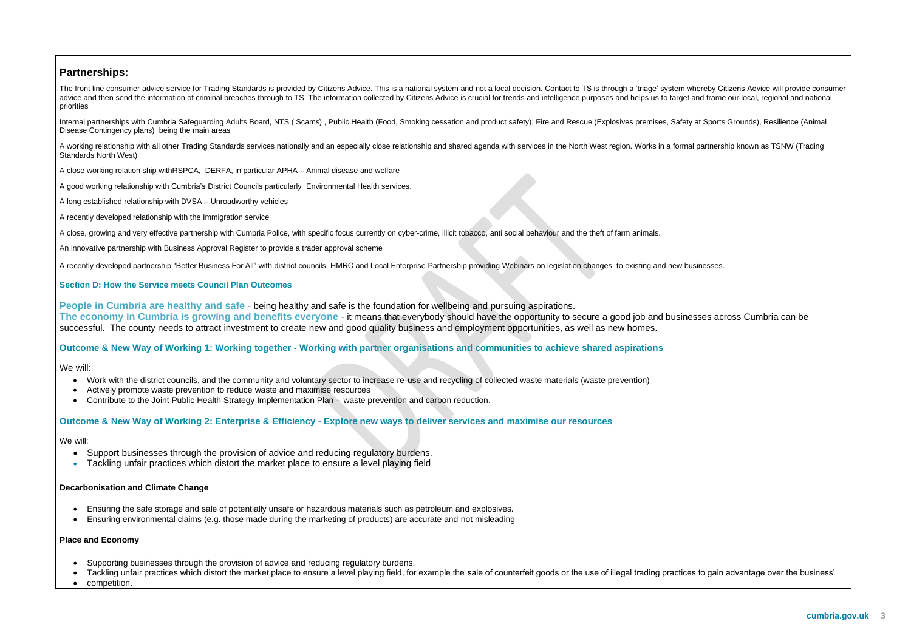### **Partnerships:**

The front line consumer advice service for Trading Standards is provided by Citizens Advice. This is a national system and not a local decision. Contact to TS is through a 'triage' system whereby Citizens Advice will provi advice and then send the information of criminal breaches through to TS. The information collected by Citizens Advice is crucial for trends and intelligence purposes and helps us to target and frame our local, regional and priorities

Internal partnerships with Cumbria Safeguarding Adults Board, NTS ( Scams) , Public Health (Food, Smoking cessation and product safety), Fire and Rescue (Explosives premises, Safety at Sports Grounds), Resilience (Animal Disease Contingency plans) being the main areas

A working relationship with all other Trading Standards services nationally and an especially close relationship and shared agenda with services in the North West region. Works in a formal partnership known as TSNW (Trading Standards North West)

A close working relation ship withRSPCA, DERFA, in particular APHA – Animal disease and welfare

A good working relationship with Cumbria's District Councils particularly Environmental Health services.

A long established relationship with DVSA – Unroadworthy vehicles

A recently developed relationship with the Immigration service

A close, growing and very effective partnership with Cumbria Police, with specific focus currently on cyber-crime, illicit tobacco, anti social behaviour and the theft of farm animals.

An innovative partnership with Business Approval Register to provide a trader approval scheme

A recently developed partnership "Better Business For All" with district councils, HMRC and Local Enterprise Partnership providing Webinars on legislation changes to existing and new businesses.

#### **Section D: How the Service meets Council Plan Outcomes**

**People in Cumbria are healthy and safe** - being healthy and safe is the foundation for wellbeing and pursuing aspirations. **The economy in Cumbria is growing and benefits everyone** - it means that everybody should have the opportunity to secure a good job and businesses across Cumbria can be successful. The county needs to attract investment to create new and good quality business and employment opportunities, as well as new homes.

#### **Outcome & New Way of Working 1: Working together - Working with partner organisations and communities to achieve shared aspirations**

We will:

- Work with the district councils, and the community and voluntary sector to increase re-use and recycling of collected waste materials (waste prevention)
- Actively promote waste prevention to reduce waste and maximise resources
- Contribute to the Joint Public Health Strategy Implementation Plan waste prevention and carbon reduction.

#### **Outcome & New Way of Working 2: Enterprise & Efficiency - Explore new ways to deliver services and maximise our resources**

#### We will:

- Support businesses through the provision of advice and reducing regulatory burdens.
- Tackling unfair practices which distort the market place to ensure a level playing field

#### **Decarbonisation and Climate Change**

- Ensuring the safe storage and sale of potentially unsafe or hazardous materials such as petroleum and explosives.
- Ensuring environmental claims (e.g. those made during the marketing of products) are accurate and not misleading

#### **Place and Economy**

- Supporting businesses through the provision of advice and reducing regulatory burdens.
- Tackling unfair practices which distort the market place to ensure a level playing field, for example the sale of counterfeit goods or the use of illegal trading practices to gain advantage over the business'
- competition.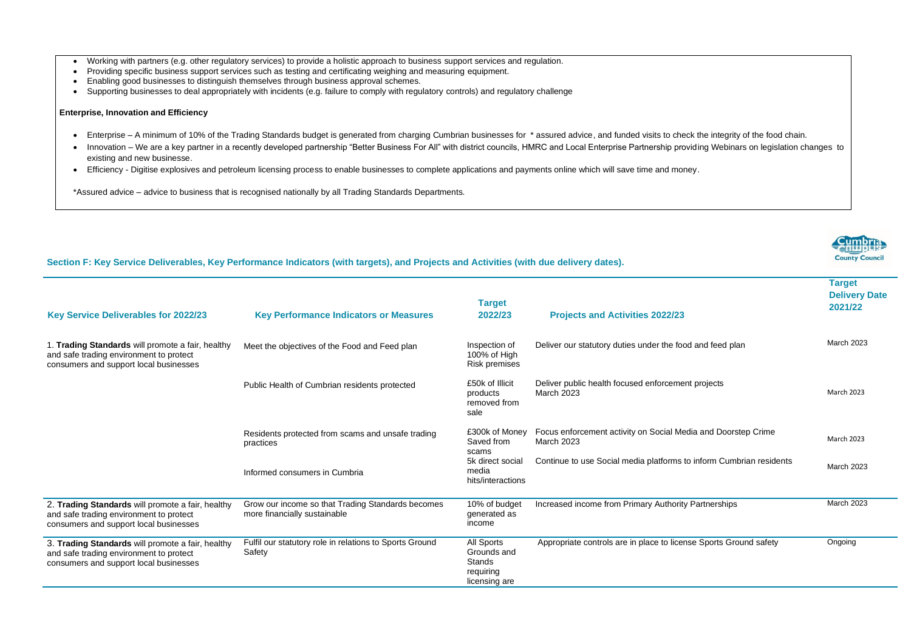- Working with partners (e.g. other regulatory services) to provide a holistic approach to business support services and regulation.
- Providing specific business support services such as testing and certificating weighing and measuring equipment.
- Enabling good businesses to distinguish themselves through business approval schemes.
- Supporting businesses to deal appropriately with incidents (e.g. failure to comply with regulatory controls) and regulatory challenge

#### **Enterprise, Innovation and Efficiency**

- Enterprise A minimum of 10% of the Trading Standards budget is generated from charging Cumbrian businesses for \*assured advice, and funded visits to check the integrity of the food chain.
- Innovation We are a key partner in a recently developed partnership "Better Business For All" with district councils, HMRC and Local Enterprise Partnership providing Webinars on legislation changes to existing and new businesse.
- Efficiency Digitise explosives and petroleum licensing process to enable businesses to complete applications and payments online which will save time and money.

\*Assured advice – advice to business that is recognised nationally by all Trading Standards Departments.

#### **Section F: Key Service Deliverables, Key Performance Indicators (with targets), and Projects and Activities (with due delivery dates).**

**Target Delivery Date 2021/22**

od and feed plan

nt projects

dia and Doorstep Crime

to inform Cumbrian residents

Increased income from Partnerships March 2023

Appropriate controls are in place Sports Ground safety **Congoing** 

| <b>Key Service Deliverables for 2022/23</b>                                                                                            | <b>Key Performance Indicators or Measures</b>                                     | <b>Target</b><br>2022/23                                                 | <b>Projects and Activities 2022/23</b>                        |  |
|----------------------------------------------------------------------------------------------------------------------------------------|-----------------------------------------------------------------------------------|--------------------------------------------------------------------------|---------------------------------------------------------------|--|
| 1. Trading Standards will promote a fair, healthy<br>and safe trading environment to protect<br>consumers and support local businesses | Meet the objectives of the Food and Feed plan                                     | Inspection of<br>100% of High<br><b>Risk premises</b>                    | Deliver our statutory duties under the foo                    |  |
|                                                                                                                                        | Public Health of Cumbrian residents protected                                     | £50k of Illicit<br>products<br>removed from<br>sale                      | Deliver public health focused enforcemer<br><b>March 2023</b> |  |
|                                                                                                                                        | Residents protected from scams and unsafe trading<br>practices                    | £300k of Money<br>Saved from<br>scams                                    | Focus enforcement activity on Social Me<br>March 2023         |  |
|                                                                                                                                        | Informed consumers in Cumbria                                                     | 5k direct social<br>media<br>hits/interactions                           | Continue to use Social media platforms t                      |  |
| 2. Trading Standards will promote a fair, healthy<br>and safe trading environment to protect<br>consumers and support local businesses | Grow our income so that Trading Standards becomes<br>more financially sustainable | 10% of budget<br>generated as<br>income                                  | Increased income from Primary Authority                       |  |
| 3. Trading Standards will promote a fair, healthy<br>and safe trading environment to protect<br>consumers and support local businesses | Fulfil our statutory role in relations to Sports Ground<br>Safety                 | All Sports<br>Grounds and<br><b>Stands</b><br>requiring<br>licensing are | Appropriate controls are in place to licen                    |  |

**County Counci** 

March 2023

March 2023

March 2023

March 2023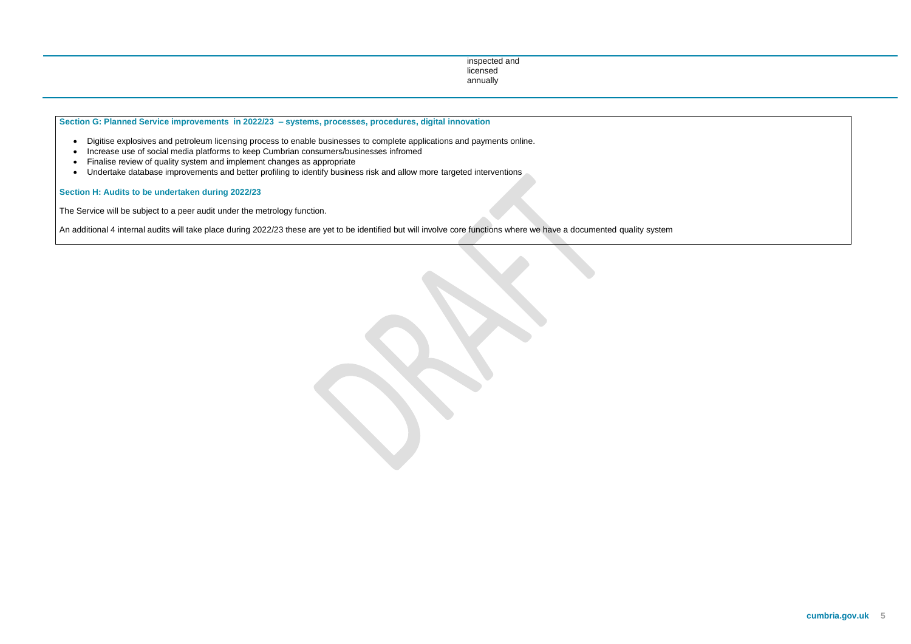inspected and licensed annually

- Digitise explosives and petroleum licensing process to enable businesses to complete applications and payments online.
- Increase use of social media platforms to keep Cumbrian consumers/businesses infromed
- Finalise review of quality system and implement changes as appropriate
- Undertake database improvements and better profiling to identify business risk and allow more targeted interventions

**Section G: Planned Service improvements in 2022/23 – systems, processes, procedures, digital innovation**

**Section H: Audits to be undertaken during 2022/23**

The Service will be subject to a peer audit under the metrology function.

An additional 4 internal audits will take place during 2022/23 these are yet to be identified but will involve core functions where we have a documented quality system